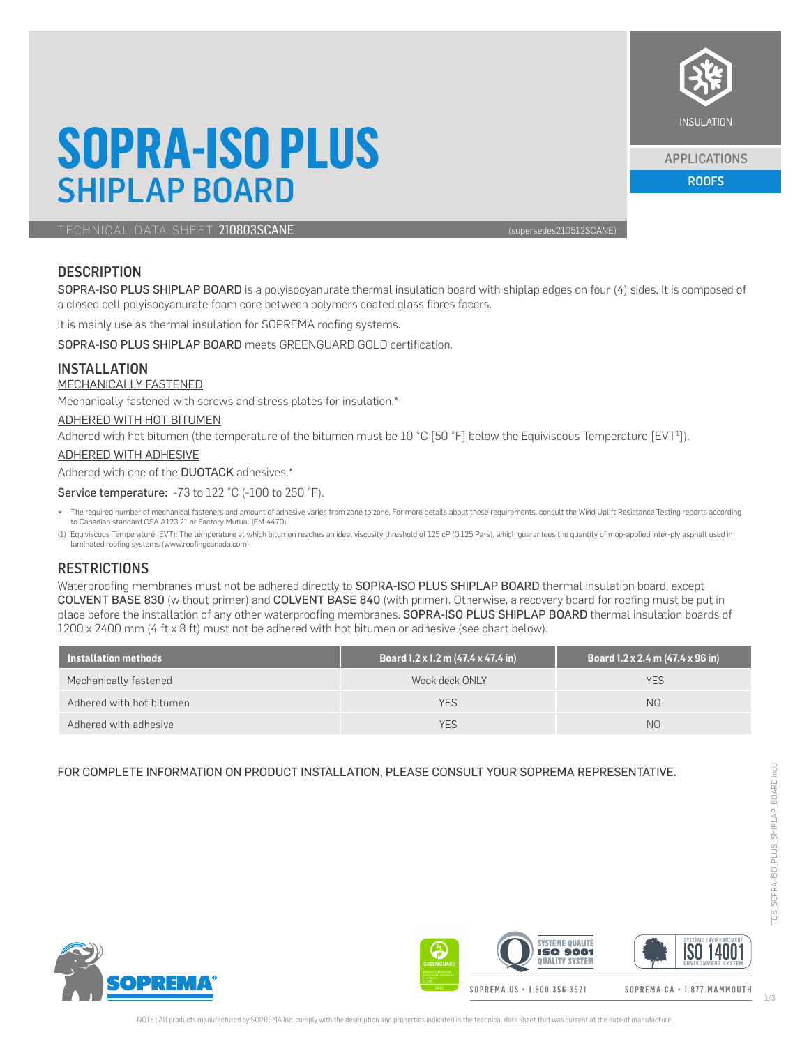## **SOPRA-ISO PLUS** SHIPLAP BOARD

TECHNICAL DATA SHEET 210803SCANE (supersedes210512SCANE)

### **DESCRIPTION**

SOPRA-ISO PLUS SHIPLAP BOARD is a polyisocyanurate thermal insulation board with shiplap edges on four (4) sides. It is composed of a closed cell polyisocyanurate foam core between polymers coated glass fibres facers.

It is mainly use as thermal insulation for SOPREMA roofing systems.

SOPRA-ISO PLUS SHIPLAP BOARD meets GREENGUARD GOLD certification.

### INSTALLATION

### MECHANICALLY FASTENED

Mechanically fastened with screws and stress plates for insulation.\*

#### ADHERED WITH HOT BITUMEN

Adhered with hot bitumen (the temperature of the bitumen must be 10 °C [50 °F] below the Equiviscous Temperature [EVT<sup>1</sup>]).

### ADHERED WITH ADHESIVE

Adhered with one of the **DUOTACK** adhesives.\*

Service temperature: -73 to 122 °C (-100 to 250 °F).

- \* The required number of mechanical fasteners and amount of adhesive varies from zone to zone. For more details about these requirements, consult the Wind Uplift Resistance Testing reports according to Canadian standard CSA A123.21 or Factory Mutual (FM 4470).
- (1) Equiviscous Temperature (EVT): The temperature at which bitumen reaches an ideal viscosity threshold of 125 cP (0.125 Pa•s), which guarantees the quantity of mop-applied inter-ply asphalt used in laminated roofing systems (www.roofingcanada.com).

### **RESTRICTIONS**

Waterproofing membranes must not be adhered directly to SOPRA-ISO PLUS SHIPLAP BOARD thermal insulation board, except COLVENT BASE 830 (without primer) and COLVENT BASE 840 (with primer). Otherwise, a recovery board for roofing must be put in place before the installation of any other waterproofing membranes. SOPRA-ISO PLUS SHIPLAP BOARD thermal insulation boards of 1200 x 2400 mm (4 ft x 8 ft) must not be adhered with hot bitumen or adhesive (see chart below).

| Installation methods     | Board 1.2 x 1.2 m (47.4 x 47.4 in) | Board 1.2 x 2.4 m (47.4 x 96 in) |
|--------------------------|------------------------------------|----------------------------------|
| Mechanically fastened    | Wook deck ONLY                     | YES                              |
| Adhered with hot bitumen | <b>YES</b>                         | N <sub>O</sub>                   |
| Adhered with adhesive    | <b>YES</b>                         | N <sub>O</sub>                   |

### FOR COMPLETE INFORMATION ON PRODUCT INSTALLATION, PLEASE CONSULT YOUR SOPREMA REPRESENTATIVE.







APPLICATIONS

ROOFS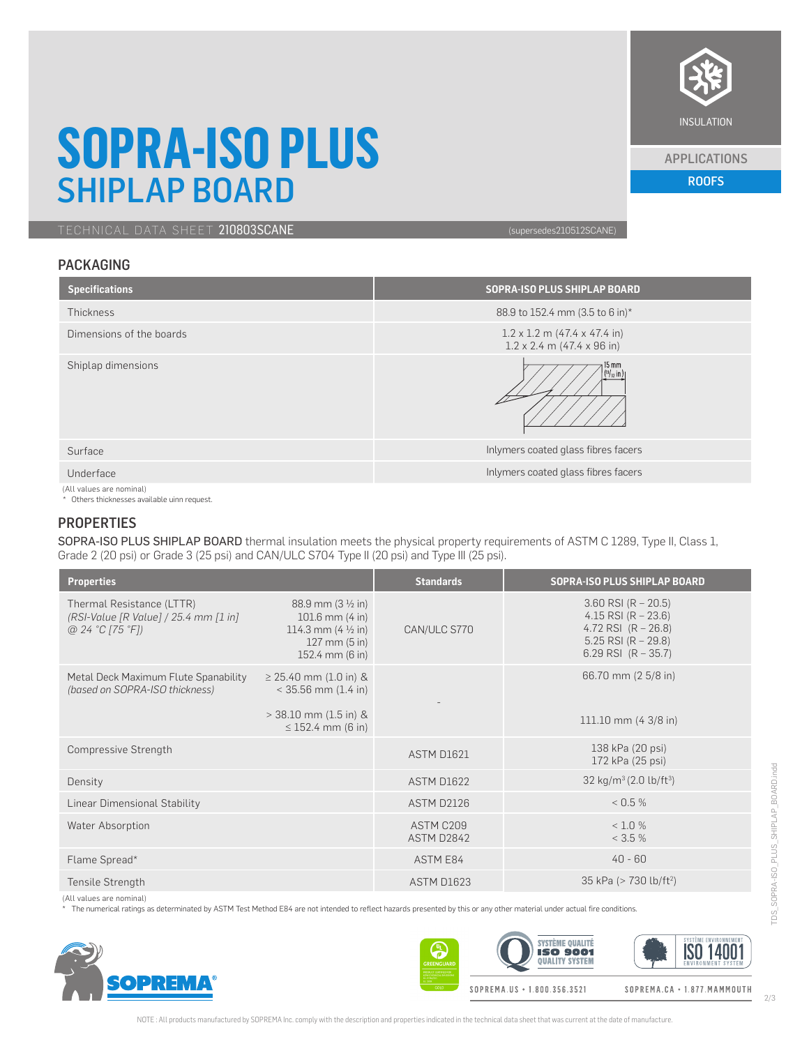

#### APPLICATIONS

ROOFS

### **SOPRA-ISO PLUS** SHIPLAP BOARD

TECHNICAL DATA SHEET 210803SCANE (Supersedes210512SCANE)

### PACKAGING

| <b>Specifications</b>    | SOPRA-ISO PLUS SHIPLAP BOARD                                                    |
|--------------------------|---------------------------------------------------------------------------------|
| Thickness                | 88.9 to 152.4 mm (3.5 to 6 in)*                                                 |
| Dimensions of the boards | $1.2 \times 1.2$ m (47.4 x 47.4 in)<br>$1.2 \times 2.4$ m (47.4 $\times$ 96 in) |
| Shiplap dimensions       | 15 mm<br>$\frac{19}{32}$ in )                                                   |
| Surface                  | Inlymers coated glass fibres facers                                             |
| Underface                | Inlymers coated glass fibres facers                                             |
| (All values are nominal) |                                                                                 |

(All values are nominal) \* Others thicknesses available uinn request.

### **PROPERTIES**

SOPRA-ISO PLUS SHIPLAP BOARD thermal insulation meets the physical property requirements of ASTM C 1289, Type II, Class 1, Grade 2 (20 psi) or Grade 3 (25 psi) and CAN/ULC S704 Type II (20 psi) and Type III (25 psi).

| <b>Properties</b>                                                                       |                                                                                                                                                  | <b>Standards</b>        | <b>SOPRA-ISO PLUS SHIPLAP BOARD</b>                                                                                        |
|-----------------------------------------------------------------------------------------|--------------------------------------------------------------------------------------------------------------------------------------------------|-------------------------|----------------------------------------------------------------------------------------------------------------------------|
| Thermal Resistance (LTTR)<br>$(RSI-Value [R Value] / 25.4 mm [1 in]$<br>@24 °C [75 °F]) | 88.9 mm $(3 \frac{1}{2} \text{ in})$<br>$101.6$ mm $(4 \text{ in})$<br>114.3 mm $(4 \frac{1}{2} \text{ in})$<br>127 mm (5 in)<br>152.4 mm (6 in) | CAN/ULC S770            | $3.60$ RSI (R – 20.5)<br>4.15 RSI (R $- 23.6$ )<br>4.72 RSI $(R - 26.8)$<br>5.25 RSI $(R - 29.8)$<br>6.29 RSI $(R - 35.7)$ |
| Metal Deck Maximum Flute Spanability<br>(based on SOPRA-ISO thickness)                  | $\geq$ 25.40 mm (1.0 in) &<br>$<$ 35.56 mm (1.4 in)<br>$>$ 38.10 mm (1.5 in) &<br>$\leq$ 152.4 mm (6 in)                                         |                         | 66.70 mm (2 5/8 in)<br>111.10 mm (4 3/8 in)                                                                                |
| Compressive Strength                                                                    |                                                                                                                                                  | ASTM D1621              | 138 kPa (20 psi)<br>172 kPa (25 psi)                                                                                       |
| Density                                                                                 |                                                                                                                                                  | ASTM D1622              | 32 kg/m <sup>3</sup> (2.0 lb/ft <sup>3</sup> )                                                                             |
| Linear Dimensional Stability                                                            |                                                                                                                                                  | ASTM D2126              | < 0.5 %                                                                                                                    |
| Water Absorption                                                                        |                                                                                                                                                  | ASTM C209<br>ASTM D2842 | < 1.0 %<br>< 3.5 %                                                                                                         |
| Flame Spread*                                                                           |                                                                                                                                                  | ASTM E84                | $40 - 60$                                                                                                                  |
| Tensile Strength                                                                        |                                                                                                                                                  | <b>ASTM D1623</b>       | 35 kPa (> 730 lb/ft <sup>2</sup> )                                                                                         |

(All values are nominal)

The numerical ratings as determinated by ASTM Test Method E84 are not intended to reflect hazards presented by this or any other material under actual fire conditions.



**SYSTÈME QUALITÉ ISO 14001 ISO 9001 QUALITY SYSTEM** SOPREMA.US + 1.800.356.3521 SOPREMA.CA · 1.877.MAMMOUTH